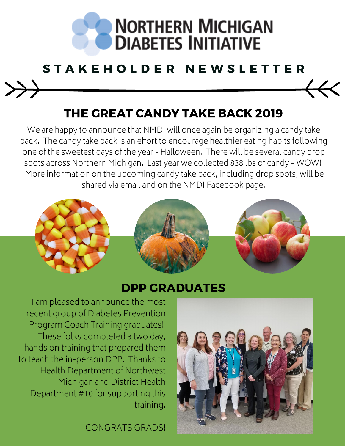

### S T A K E H O L D E R N E W S L E T T E R

#### THE GREAT CANDY TAKE BACK 2019

We are happy to announce that NMDI will once again be organizing a candy take back. The candy take back is an effort to encourage healthier eating habits following one of the sweetest days of the year - Halloween. There will be several candy drop spots across Northern Michigan. Last year we collected 838 lbs of candy - WOW! More information on the upcoming candy take back, including drop spots, will be shared via email and on the NMDI Facebook page.



#### DPP GRADUATES

I am pleased to announce the most recent group of Diabetes Prevention Program Coach Training graduates! These folks completed a two day, hands on training that prepared them to teach the in-person DPP. Thanks to Health Department of Northwest Michigan and District Health Department #10 for supporting this training.

CONGRATS GRADS!